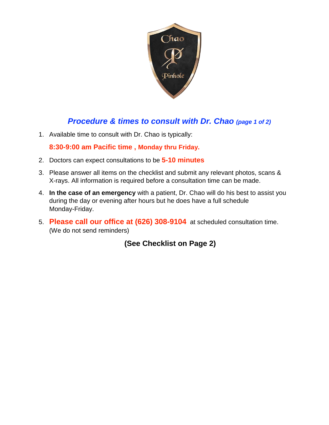

## *Procedure & times to consult with Dr. Chao (page 1 of 2)*

1. Available time to consult with Dr. Chao is typically:

**8:30-9:00 am Pacific time , Monday thru Friday.**

- 2. Doctors can expect consultations to be **5-10 minutes**
- 3. Please answer all items on the checklist and submit any relevant photos, scans & X-rays. All information is required before a consultation time can be made.
- 4. **In the case of an emergency** with a patient, Dr. Chao will do his best to assist you during the day or evening after hours but he does have a full schedule Monday-Friday.
- 5. **Please call our office at (626) 308-9104** at scheduled consultation time. (We do not send reminders)

 **(See Checklist on Page 2)**